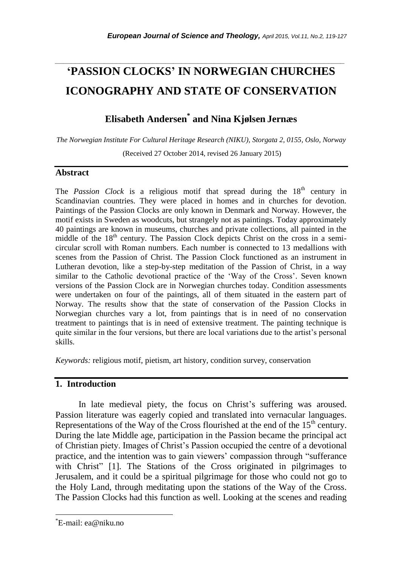# **'PASSION CLOCKS' IN NORWEGIAN CHURCHES ICONOGRAPHY AND STATE OF CONSERVATION**

*\_\_\_\_\_\_\_\_\_\_\_\_\_\_\_\_\_\_\_\_\_\_\_\_\_\_\_\_\_\_\_\_\_\_\_\_\_\_\_\_\_\_\_\_\_\_\_\_\_\_\_\_\_\_\_\_\_\_\_\_\_\_\_\_\_\_\_\_\_\_\_*

# **Elisabeth Andersen\* and Nina Kjølsen Jernæs**

*The Norwegian Institute For Cultural Heritage Research (NIKU), Storgata 2, 0155, Oslo, Norway*

(Received 27 October 2014, revised 26 January 2015)

# **Abstract**

The *Passion Clock* is a religious motif that spread during the  $18<sup>th</sup>$  century in Scandinavian countries. They were placed in homes and in churches for devotion. Paintings of the Passion Clocks are only known in Denmark and Norway. However, the motif exists in Sweden as woodcuts, but strangely not as paintings. Today approximately 40 paintings are known in museums, churches and private collections, all painted in the middle of the 18<sup>th</sup> century. The Passion Clock depicts Christ on the cross in a semicircular scroll with Roman numbers. Each number is connected to 13 medallions with scenes from the Passion of Christ. The Passion Clock functioned as an instrument in Lutheran devotion, like a step-by-step meditation of the Passion of Christ, in a way similar to the Catholic devotional practice of the 'Way of the Cross'. Seven known versions of the Passion Clock are in Norwegian churches today. Condition assessments were undertaken on four of the paintings, all of them situated in the eastern part of Norway. The results show that the state of conservation of the Passion Clocks in Norwegian churches vary a lot, from paintings that is in need of no conservation treatment to paintings that is in need of extensive treatment. The painting technique is quite similar in the four versions, but there are local variations due to the artist's personal skills.

*Keywords:* religious motif, pietism, art history, condition survey, conservation

# **1. Introduction**

In late medieval piety, the focus on Christ's suffering was aroused. Passion literature was eagerly copied and translated into vernacular languages. Representations of the Way of the Cross flourished at the end of the 15<sup>th</sup> century. During the late Middle age, participation in the Passion became the principal act of Christian piety. Images of Christ"s Passion occupied the centre of a devotional practice, and the intention was to gain viewers" compassion through "sufferance with Christ" [1]. The Stations of the Cross originated in pilgrimages to [Jerusalem,](http://en.wikipedia.org/wiki/Jerusalem) and it could be a spiritual pilgrimage for those who could not go to the Holy Land, through meditating upon the stations of the Way of the Cross. The Passion Clocks had this function as well. Looking at the scenes and reading

l

<sup>\*</sup>E-mail: ea@niku.no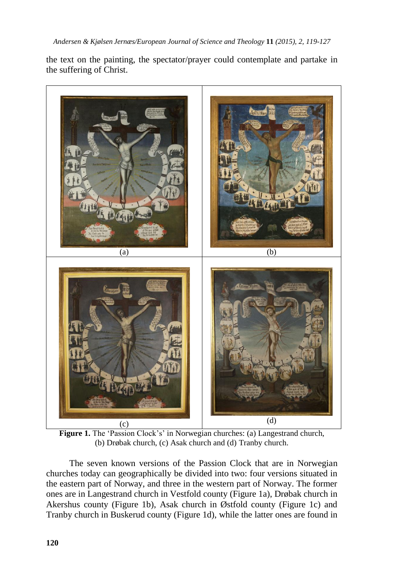the text on the painting, the spectator/prayer could contemplate and partake in the suffering of Christ.





The seven known versions of the Passion Clock that are in Norwegian churches today can geographically be divided into two: four versions situated in the eastern part of Norway, and three in the western part of Norway. The former ones are in Langestrand church in Vestfold county (Figure 1a), Drøbak church in Akershus county (Figure 1b), Asak church in Østfold county (Figure 1c) and Tranby church in Buskerud county (Figure 1d), while the latter ones are found in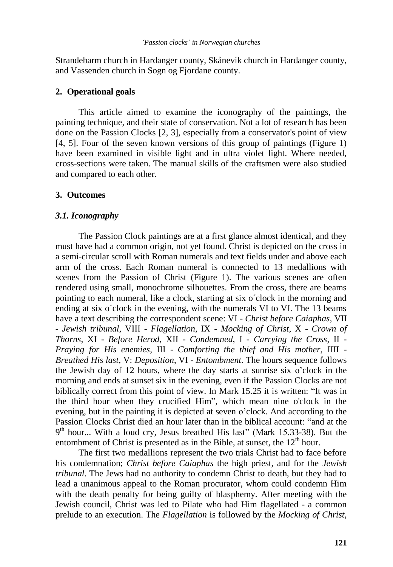Strandebarm church in Hardanger county, Skånevik church in Hardanger county, and Vassenden church in Sogn og Fjordane county.

#### **2. Operational goals**

This article aimed to examine the iconography of the paintings, the painting technique, and their state of conservation. Not a lot of research has been done on the Passion Clocks [2, 3], especially from a conservator's point of view [4, 5]. Four of the seven known versions of this group of paintings (Figure 1) have been examined in visible light and in ultra violet light. Where needed, cross-sections were taken. The manual skills of the craftsmen were also studied and compared to each other.

#### **3. Outcomes**

#### *3.1. Iconography*

The Passion Clock paintings are at a first glance almost identical, and they must have had a common origin, not yet found. Christ is depicted on the cross in a semi-circular scroll with Roman numerals and text fields under and above each arm of the cross. Each Roman numeral is connected to 13 medallions with scenes from the Passion of Christ (Figure 1). The various scenes are often rendered using small, monochrome silhouettes. From the cross, there are beams pointing to each numeral, like a clock, starting at six o´clock in the morning and ending at six o´clock in the evening, with the numerals VI to VI. The 13 beams have a text describing the correspondent scene: VI - *Christ before Caiaphas*, VII - *Jewish tribunal*, VIII - *Flagellation*, IX - *Mocking of Christ*, X - *Crown of Thorns*, XI - *Before Herod*, XII - *Condemned*, I - *Carrying the Cross*, II - *Praying for His enemies*, III - *Comforting the thief and His mother*, IIII - *Breathed His last*, V: *Deposition*, VI - *Entombment*. The hours sequence follows the Jewish day of 12 hours, where the day starts at sunrise six o"clock in the morning and ends at sunset six in the evening, even if the Passion Clocks are not biblically correct from this point of view. In Mark 15.25 it is written: "It was in the third hour when they crucified Him", which mean nine o'clock in the evening, but in the painting it is depicted at seven o"clock. And according to the Passion Clocks Christ died an hour later than in the biblical account: "and at the 9<sup>th</sup> hour... With a loud cry, Jesus breathed His last" (Mark 15.33-38). But the entombment of Christ is presented as in the Bible, at sunset, the  $12<sup>th</sup>$  hour.

The first two medallions represent the two trials Christ had to face before his condemnation; *Christ before Caiaphas* the high priest, and for the *Jewish tribunal*. The Jews had no authority to condemn Christ to death, but they had to lead a unanimous appeal to the Roman procurator, whom could condemn Him with the death penalty for being guilty of blasphemy. After meeting with the Jewish council, Christ was led to Pilate who had Him flagellated - a common prelude to an execution. The *Flagellation* is followed by the *Mocking of Christ*,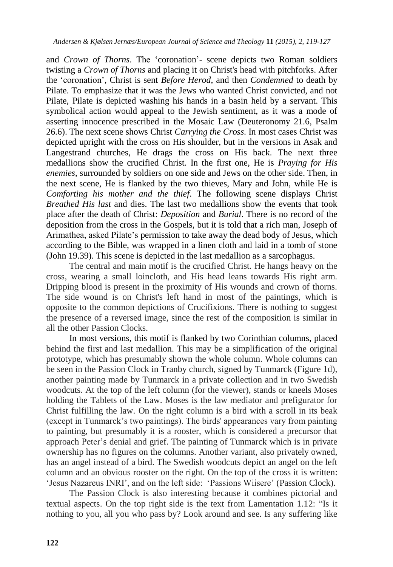and *Crown of Thorns*. The 'coronation'- scene depicts two Roman soldiers twisting a *Crown of Thorns* and placing it on Christ's head with pitchforks. After the "coronation", Christ is sent *Before Herod*, and then *Condemned* to death by Pilate. To emphasize that it was the Jews who wanted Christ convicted, and not Pilate, Pilate is depicted washing his hands in a basin held by a servant. This symbolical action would appeal to the Jewish sentiment, as it was a mode of asserting innocence prescribed in the Mosaic Law (Deuteronomy 21.6, Psalm 26.6). The next scene shows Christ *Carrying the Cross*. In most cases Christ was depicted upright with the cross on His shoulder, but in the versions in Asak and Langestrand churches, He drags the cross on His back. The next three medallions show the crucified Christ. In the first one, He is *Praying for His enemies*, surrounded by soldiers on one side and Jews on the other side. Then, in the next scene, He is flanked by the two thieves, Mary and John, while He is *Comforting his mother and the thief*. The following scene displays Christ *Breathed His last* and dies. The last two medallions show the events that took place after the death of Christ: *Deposition* and *Burial*. There is no record of the deposition from the cross in the Gospels, but it is told that a rich man, Joseph of Arimathea, asked Pilate"s permission to take away the dead body of Jesus, which according to the Bible, was wrapped in a linen cloth and laid in a tomb of stone (John 19.39). This scene is depicted in the last medallion as a sarcophagus.

The central and main motif is the crucified Christ. He hangs heavy on the cross, wearing a small loincloth, and His head leans towards His right arm. Dripping blood is present in the proximity of His wounds and crown of thorns. The side wound is on Christ's left hand in most of the paintings, which is opposite to the common depictions of Crucifixions. There is nothing to suggest the presence of a reversed image, since the rest of the composition is similar in all the other Passion Clocks.

In most versions, this motif is flanked by two Corinthian columns, placed behind the first and last medallion. This may be a simplification of the original prototype, which has presumably shown the whole column. Whole columns can be seen in the Passion Clock in Tranby church, signed by Tunmarck (Figure 1d), another painting made by Tunmarck in a private collection and in two Swedish woodcuts. At the top of the left column (for the viewer), stands or kneels Moses holding the Tablets of the Law. Moses is the law mediator and prefigurator for Christ fulfilling the law. On the right column is a bird with a scroll in its beak (except in Tunmarck"s two paintings). The birds' appearances vary from painting to painting, but presumably it is a rooster, which is considered a precursor that approach Peter's denial and grief. The painting of Tunmarck which is in private ownership has no figures on the columns. Another variant, also privately owned, has an angel instead of a bird. The Swedish woodcuts depict an angel on the left column and an obvious rooster on the right. On the top of the cross it is written: 'Jesus Nazareus INRI', and on the left side: 'Passions Wiisere' (Passion Clock).

The Passion Clock is also interesting because it combines pictorial and textual aspects. On the top right side is the text from Lamentation 1.12: "Is it nothing to you, all you who pass by? Look around and see. Is any suffering like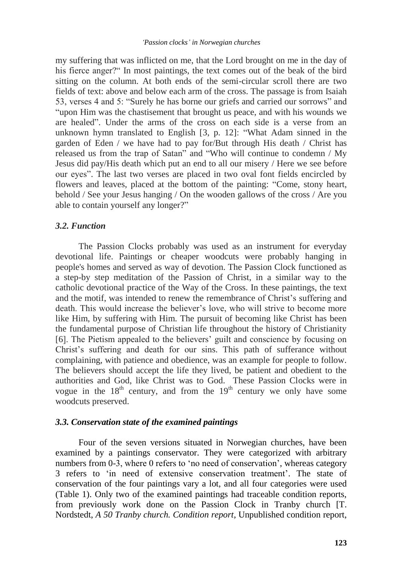my suffering that was inflicted on me, that the Lord brought on me in the day of his fierce anger?" In most paintings, the text comes out of the beak of the bird sitting on the column. At both ends of the semi-circular scroll there are two fields of text: above and below each arm of the cross. The passage is from Isaiah 53, verses 4 and 5: "Surely he has borne our griefs and carried our sorrows" and "upon Him was the chastisement that brought us peace, and with his wounds we are healed". Under the arms of the cross on each side is a verse from an unknown hymn translated to English [3, p. 12]: "What Adam sinned in the garden of Eden / we have had to pay for/But through His death / Christ has released us from the trap of Satan" and "Who will continue to condemn / My Jesus did pay/His death which put an end to all our misery / Here we see before our eyes". The last two verses are placed in two oval font fields encircled by flowers and leaves, placed at the bottom of the painting: "Come, stony heart, behold / See your Jesus hanging / On the wooden gallows of the cross / Are you able to contain yourself any longer?"

#### *3.2. Function*

The Passion Clocks probably was used as an instrument for everyday devotional life. Paintings or cheaper woodcuts were probably hanging in people's homes and served as way of devotion. The Passion Clock functioned as a step-by step meditation of the Passion of Christ, in a similar way to the catholic devotional practice of the Way of the Cross. In these paintings, the text and the motif, was intended to renew the remembrance of Christ"s suffering and death. This would increase the believer"s love, who will strive to become more like Him, by suffering with Him. The pursuit of becoming like Christ has been the fundamental purpose of Christian life throughout the history of Christianity [6]. The Pietism appealed to the believers' guilt and conscience by focusing on Christ"s suffering and death for our sins. This path of sufferance without complaining, with patience and obedience, was an example for people to follow. The believers should accept the life they lived, be patient and obedient to the authorities and God, like Christ was to God. These Passion Clocks were in vogue in the  $18<sup>th</sup>$  century, and from the  $19<sup>th</sup>$  century we only have some woodcuts preserved.

#### *3.3. Conservation state of the examined paintings*

Four of the seven versions situated in Norwegian churches, have been examined by a paintings conservator. They were categorized with arbitrary numbers from 0-3, where 0 refers to 'no need of conservation', whereas category 3 refers to "in need of extensive conservation treatment". The state of conservation of the four paintings vary a lot, and all four categories were used (Table 1). Only two of the examined paintings had traceable condition reports, from previously work done on the Passion Clock in Tranby church [T. Nordstedt, *A 50 Tranby church. Condition report*, Unpublished condition report,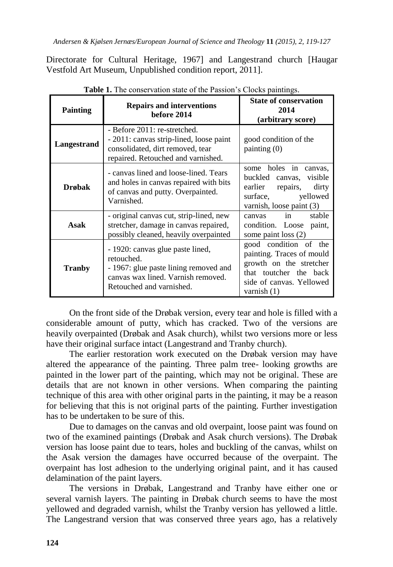Directorate for Cultural Heritage, 1967] and Langestrand church [Haugar Vestfold Art Museum, Unpublished condition report, 2011].

| able 1. The conservation state of the I assion 3 Crocks paintings. |                                                                                                                                                           |                                                                                                                                                      |
|--------------------------------------------------------------------|-----------------------------------------------------------------------------------------------------------------------------------------------------------|------------------------------------------------------------------------------------------------------------------------------------------------------|
| <b>Painting</b>                                                    | <b>Repairs and interventions</b><br>before 2014                                                                                                           | <b>State of conservation</b><br>2014<br>(arbitrary score)                                                                                            |
| Langestrand                                                        | - Before 2011: re-stretched.<br>- 2011: canvas strip-lined, loose paint<br>consolidated, dirt removed, tear<br>repaired. Retouched and varnished.         | good condition of the<br>$\text{painting}(0)$                                                                                                        |
| <b>Drøbak</b>                                                      | - canvas lined and loose-lined. Tears<br>and holes in canvas repaired with bits<br>of canvas and putty. Overpainted.<br>Varnished.                        | some holes in<br>canvas.<br>buckled canvas, visible<br>earlier<br>repairs,<br>dirty<br>yellowed<br>surface.<br>varnish, loose paint (3)              |
| Asak                                                               | - original canvas cut, strip-lined, new<br>stretcher, damage in canvas repaired,<br>possibly cleaned, heavily overpainted                                 | in<br>stable<br>canvas<br>condition. Loose paint,<br>some paint loss $(2)$                                                                           |
| <b>Tranby</b>                                                      | - 1920: canvas glue paste lined,<br>retouched.<br>- 1967: glue paste lining removed and<br>canvas wax lined. Varnish removed.<br>Retouched and varnished. | good condition of the<br>painting. Traces of mould<br>growth on the stretcher<br>that toutcher the back<br>side of canvas. Yellowed<br>varnish $(1)$ |

**Table 1.** The conservation state of the Passion"s Clocks paintings.

On the front side of the Drøbak version, every tear and hole is filled with a considerable amount of putty, which has cracked. Two of the versions are heavily overpainted (Drøbak and Asak church), whilst two versions more or less have their original surface intact (Langestrand and Tranby church).

The earlier restoration work executed on the Drøbak version may have altered the appearance of the painting. Three palm tree- looking growths are painted in the lower part of the painting, which may not be original. These are details that are not known in other versions. When comparing the painting technique of this area with other original parts in the painting, it may be a reason for believing that this is not original parts of the painting. Further investigation has to be undertaken to be sure of this.

Due to damages on the canvas and old overpaint, loose paint was found on two of the examined paintings (Drøbak and Asak church versions). The Drøbak version has loose paint due to tears, holes and buckling of the canvas, whilst on the Asak version the damages have occurred because of the overpaint. The overpaint has lost adhesion to the underlying original paint, and it has caused delamination of the paint layers.

The versions in Drøbak, Langestrand and Tranby have either one or several varnish layers. The painting in Drøbak church seems to have the most yellowed and degraded varnish, whilst the Tranby version has yellowed a little. The Langestrand version that was conserved three years ago, has a relatively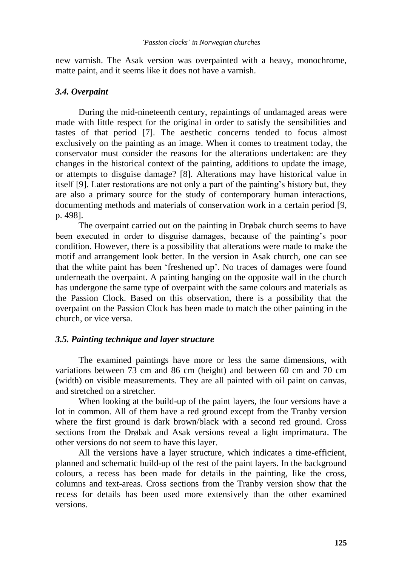new varnish. The Asak version was overpainted with a heavy, monochrome, matte paint, and it seems like it does not have a varnish.

# *3.4. Overpaint*

During the mid-nineteenth century, repaintings of undamaged areas were made with little respect for the original in order to satisfy the sensibilities and tastes of that period [7]. The aesthetic concerns tended to focus almost exclusively on the painting as an image. When it comes to treatment today, the conservator must consider the reasons for the alterations undertaken: are they changes in the historical context of the painting, additions to update the image, or attempts to disguise damage? [8]. Alterations may have historical value in itself [9]. Later restorations are not only a part of the painting"s history but, they are also a primary source for the study of contemporary human interactions, documenting methods and materials of conservation work in a certain period [9, p. 498].

The overpaint carried out on the painting in Drøbak church seems to have been executed in order to disguise damages, because of the painting"s poor condition. However, there is a possibility that alterations were made to make the motif and arrangement look better. In the version in Asak church, one can see that the white paint has been "freshened up". No traces of damages were found underneath the overpaint. A painting hanging on the opposite wall in the church has undergone the same type of overpaint with the same colours and materials as the Passion Clock. Based on this observation, there is a possibility that the overpaint on the Passion Clock has been made to match the other painting in the church, or vice versa.

# *3.5. Painting technique and layer structure*

The examined paintings have more or less the same dimensions, with variations between 73 cm and 86 cm (height) and between 60 cm and 70 cm (width) on visible measurements. They are all painted with oil paint on canvas, and stretched on a stretcher.

When looking at the build-up of the paint layers, the four versions have a lot in common. All of them have a red ground except from the Tranby version where the first ground is dark brown/black with a second red ground. Cross sections from the Drøbak and Asak versions reveal a light imprimatura. The other versions do not seem to have this layer.

All the versions have a layer structure, which indicates a time-efficient, planned and schematic build-up of the rest of the paint layers. In the background colours, a recess has been made for details in the painting, like the cross, columns and text-areas. Cross sections from the Tranby version show that the recess for details has been used more extensively than the other examined versions.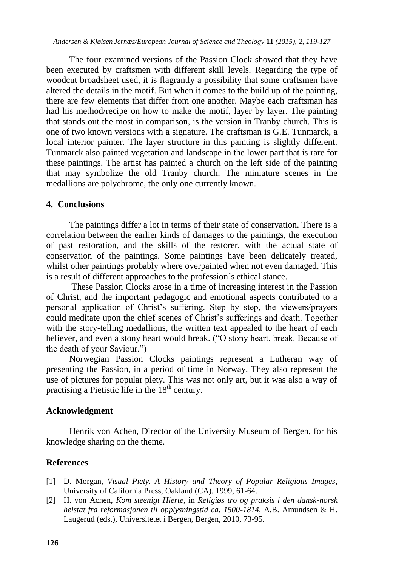The four examined versions of the Passion Clock showed that they have been executed by craftsmen with different skill levels. Regarding the type of woodcut broadsheet used, it is flagrantly a possibility that some craftsmen have altered the details in the motif. But when it comes to the build up of the painting, there are few elements that differ from one another. Maybe each craftsman has had his method/recipe on how to make the motif, layer by layer. The painting that stands out the most in comparison, is the version in Tranby church. This is one of two known versions with a signature. The craftsman is G.E. Tunmarck, a local interior painter. The layer structure in this painting is slightly different. Tunmarck also painted vegetation and landscape in the lower part that is rare for these paintings. The artist has painted a church on the left side of the painting that may symbolize the old Tranby church. The miniature scenes in the medallions are polychrome, the only one currently known.

### **4. Conclusions**

The paintings differ a lot in terms of their state of conservation. There is a correlation between the earlier kinds of damages to the paintings, the execution of past restoration, and the skills of the restorer, with the actual state of conservation of the paintings. Some paintings have been delicately treated, whilst other paintings probably where overpainted when not even damaged. This is a result of different approaches to the profession´s ethical stance.

These Passion Clocks arose in a time of increasing interest in the Passion of Christ, and the important pedagogic and emotional aspects contributed to a personal application of Christ"s suffering. Step by step, the viewers/prayers could meditate upon the chief scenes of Christ"s sufferings and death. Together with the story-telling medallions, the written text appealed to the heart of each believer, and even a stony heart would break. ("O stony heart, break. Because of the death of your Saviour.")

Norwegian Passion Clocks paintings represent a Lutheran way of presenting the Passion, in a period of time in Norway. They also represent the use of pictures for popular piety. This was not only art, but it was also a way of practising a Pietistic life in the 18<sup>th</sup> century.

# **Acknowledgment**

Henrik von Achen, Director of the University Museum of Bergen, for his knowledge sharing on the theme.

# **References**

- [1] D. Morgan, *Visual Piety. A History and Theory of Popular Religious Images*, University of California Press, Oakland (CA), 1999, 61-64.
- [2] H. von Achen, *Kom steenigt Hierte*, in *Religiøs tro og praksis i den dansk-norsk helstat fra reformasjonen til opplysningstid ca. 1500-1814*, A.B. Amundsen & H. Laugerud (eds.), Universitetet i Bergen, Bergen, 2010, 73-95.